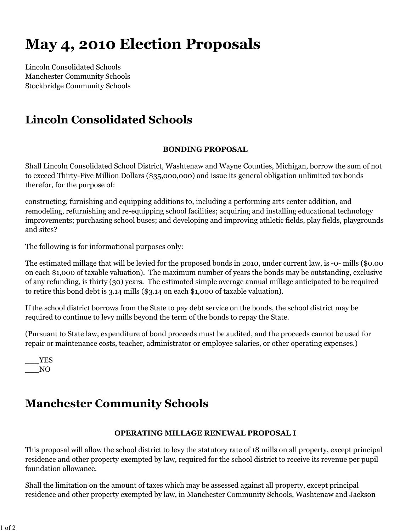# **May 4, 2010 Election Proposals**

Lincoln Consolidated Schools Manchester Community Schools Stockbridge Community Schools

# **Lincoln Consolidated Schools**

### **BONDING PROPOSAL**

Shall Lincoln Consolidated School District, Washtenaw and Wayne Counties, Michigan, borrow the sum of not to exceed Thirty-Five Million Dollars (\$35,000,000) and issue its general obligation unlimited tax bonds therefor, for the purpose of:

constructing, furnishing and equipping additions to, including a performing arts center addition, and remodeling, refurnishing and re-equipping school facilities; acquiring and installing educational technology improvements; purchasing school buses; and developing and improving athletic fields, play fields, playgrounds and sites?

The following is for informational purposes only:

The estimated millage that will be levied for the proposed bonds in 2010, under current law, is -0- mills (\$0.00 on each \$1,000 of taxable valuation). The maximum number of years the bonds may be outstanding, exclusive of any refunding, is thirty (30) years. The estimated simple average annual millage anticipated to be required to retire this bond debt is 3.14 mills (\$3.14 on each \$1,000 of taxable valuation).

If the school district borrows from the State to pay debt service on the bonds, the school district may be required to continue to levy mills beyond the term of the bonds to repay the State.

(Pursuant to State law, expenditure of bond proceeds must be audited, and the proceeds cannot be used for repair or maintenance costs, teacher, administrator or employee salaries, or other operating expenses.)

\_\_\_YES \_\_\_NO

# **Manchester Community Schools**

### **OPERATING MILLAGE RENEWAL PROPOSAL I**

This proposal will allow the school district to levy the statutory rate of 18 mills on all property, except principal residence and other property exempted by law, required for the school district to receive its revenue per pupil foundation allowance.

Shall the limitation on the amount of taxes which may be assessed against all property, except principal residence and other property exempted by law, in Manchester Community Schools, Washtenaw and Jackson